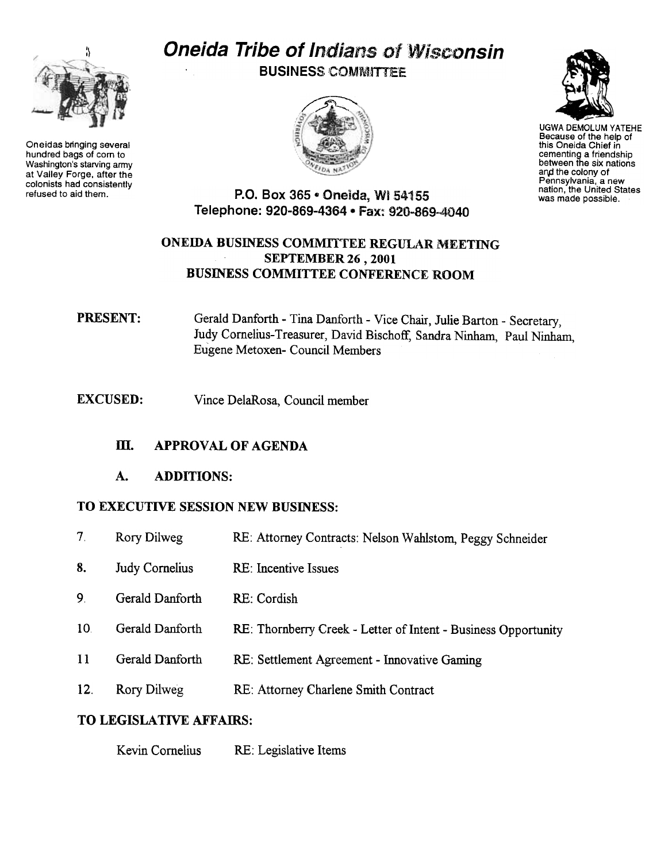

Oneidas bringing several hundred bags of com to Washington's starving army at Valley Forge. after the colonists had consistently<br>refused to aid them.

# **Oneida Tribe of Indians of Wisconsin**

**BUSINESS COMMITTEE** 





UGWA DEMOLUM YATEHE Because of the help of this Oneida Chief in cementing a friendship between the six nations and the colony of Pennsylvania, a new nation, the United States was made possible.

P.O. Box 365 . Oneida, WI 54155 Telephone: 920-869-4364 . Fax: 920-869-4040

#### ONEIDA BUSINESS COMMITTEE REGULAR MEETING SEPTEMBER 26 , 2001 BUSINESS COMMITTEE CONFERENCE ROOM

#### **PRESENT:** Gerald Danforth - Tina Danforth - Vice Chair, Julie Barton - Secretary, Judy Comelius- Treasurer, David Bischoff, Sandra Ninham, Paul Ninham, Eugene Metoxen- Council Members

EXCUSED: Vince DelaRosa, Council member

#### m. APPROVAL OF AGENDA

#### A. ADDITIONS:

#### TO EXECUTIVE SESSION NEW BUSINESS:

- $7<sup>1</sup>$ Rory Dilweg RE: Attorney Contracts: Nelson Wahlstom, Peggy Schneider
- Judy Cornelius RE: Incentive Issues 8.
- 9. Gerald Danforth RE: Cordish
- 10 Gerald Danforth RE: Thornberry Creek Letter of Intent Business Opportunity
- 11 Gerald Danforth RE: Settlement Agreement -Innovative Gaming
- 12. Rory Dilweg Attorney Charlene Smith Contract

#### TO LEGISLATIVE AFFAIRS:

Kevin Cornelius RE: Legislative Items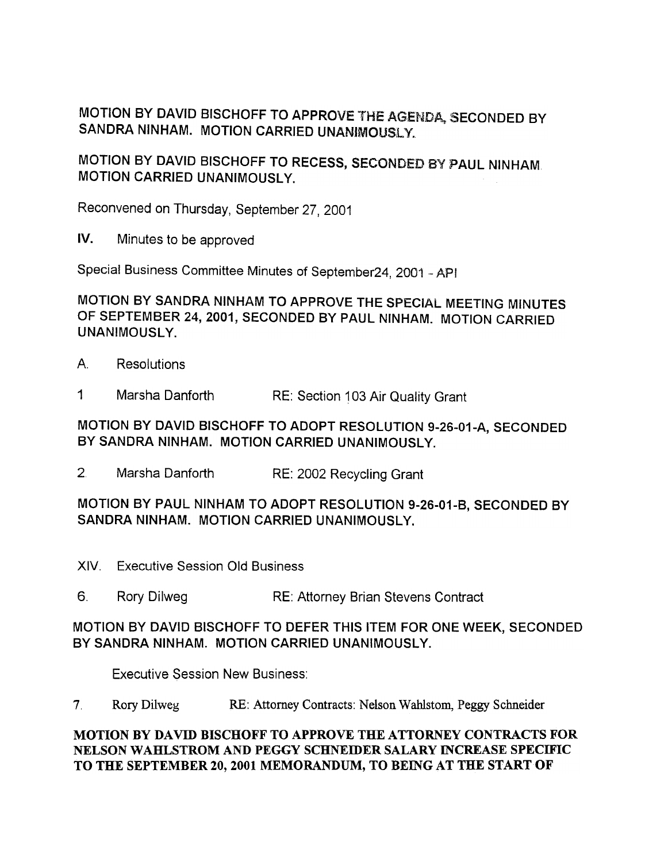MOTION BY DAVID BISCHOFF TO APPROVE THE AGENDA, SECONDED BY SANDRA NINHAM. MOTION CARRIED UNANIMOUSLY.

MOTION BY DAVID BISCHOFF TO RECESS, SECONDED BY PAUL NINHAM MOTION CARRIED UNANIMOUSLY.

Reconvened on Thursday, September 27,2001

IV. Minutes to be approved

Special Business Committee Minutes of September24, 2001 -API

MOTION BY SANDRA NINHAM TO APPROVE THE SPECIAL MEETING MINUTES OF SEPTEMBER 24,2001, SECONDED BY PAUL NINHAM. MOTION CARRIED UNANIMOUSLY.

- A. Resolutions
- 1 Marsha Danforth RE: Section 103 Air Quality Grant

MOTION BY DAVID BISCHOFF TO ADOPT RESOLUTION 9-26-01-A, SECONDED BY SANDRA NINHAM. MOTION CARRIED UNANIMOUSLY.

2 Marsha Danforth RE: 2002 Recycling Grant

MOTION 8Y PAUL NINHAM TO ADOPT RESOLUTION 9-26-01-8, SECONDED 8Y SANDRA NINHAM. MOTION CARRIED UNANIMOUSLY.

- XIV. Executive Session Old Business
- 6. Rory Dilweg RE: Attorney Brian Stevens Contract

#### MOTION BY DAVID BISCHOFF TO DEFER THIS ITEM FOR ONE WEEK, SECONDED BY SANDRA NINHAM. MOTION CARRIED UNANIMOUSLY.

Executive Session New Business:

7. Rory Dilweg RE: Attorney Contracts: Nelson Wahlstom, Peggy Schneider

#### MOTION BY DAVID BISCHOFF TO APPROVE THE ATTORNEY CONTRACTS FOR NELSON WAHLSTROM AND PEGGY SCHNEIDER SALARY INCREASE SPECIFIC TO THE SEPTEMBER 20,2001 MEMORANDUM, TO BEING AT THE START OF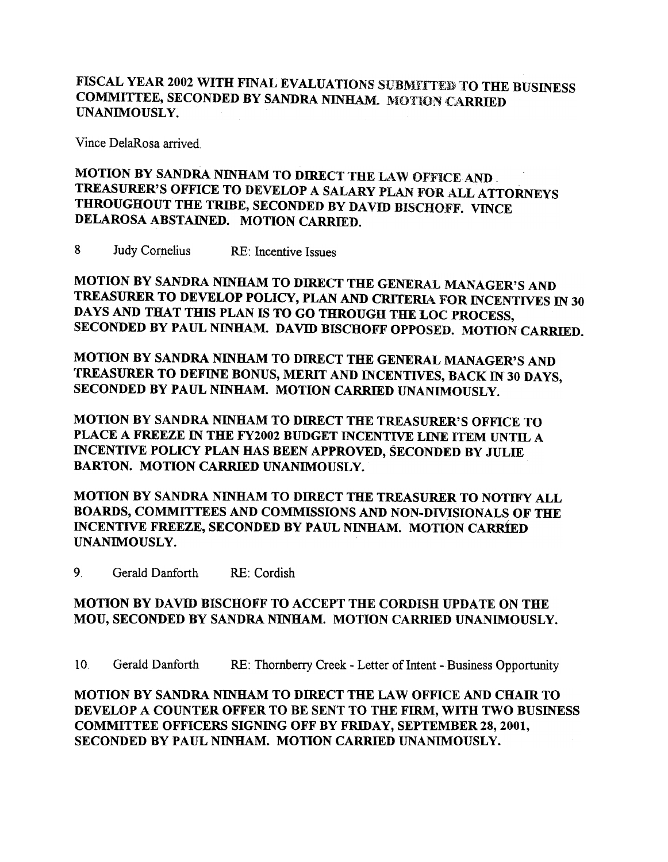## FISCAL YEAR 2002 WITH FINAL EVALUATIONS SUBMITTED TO THE BUSINESS COMMITTEE, SECONDED BY SANDRA NINHAM. MOTION CARRIED UNANIMOUSLY.

Vince DelaRosa arrived.

## MOTION BY SANDRA NINHAM TO DIRECT THE LAW OFFICE AND TREASURER'S OFFICE TO DEVELOP A SALARY PLAN FOR ALL ATTORNEYS THROUGHOUT THE TRIBE, SECONDED BY DAVID BISCHOFF. VINCE DELAROSA ABSTAINED. MOTION CARRIED.

8 Judy Cornelius RE: Incentive Issues

MOTION BY SANDRA NINHAM TO DIRECT THE GENERAL MANAGER'S AND TREASURER TO DEVELOP POLICY, PLAN AND CRITERIA FOR INCENTIVES IN 30 DAYS AND THAT THIS PLAN IS TO GO THROUGH THE LOC PROCESS, SECONDED BY PAUL NINHAM. DAVID BISCHOFF OPPOSED. MOTION CARRIED.

MOTION BY SANDRA NINHAM TO DIRECT THE GENERAL MANAGER'S AND TREASURER TO DEFINE BONUS, MERIT AND INCENTIVES, BACK IN 30 DAYS, SECONDED BY PAUL NINHAM. MOTION CARRIED UNANIMOUSLY.

MOTION BY SANDRA NINHAM TO DIRECT THE TREASURER'S OFFICE TO PLACE A FREEZE IN THE FY2002 BUDGET INCENTIVE LINE ITEM UNTIL A INCENTIVE POLICY PLAN HAS BEEN APPROVED, SECONDED BY JULIE BARTON. MOTION CARRIED UNANIMOUSLY.

MOTION BY SANDRA NINHAM TO DIRECT THE TREASURER TO NOTIFY ALL BOARDS, COMMITTEES AND COMMISSIONS AND NON-DIVISIONALS OF THE INCENTIVE FREEZE, SECONDED BY PAUL NINHAM. MOTION CARRIED UNANIMOUSLY.

9. Gerald Danforth RE: Cordish

#### MOTION BY DAVID BISCHOFF TO ACCEPT THE CORDISH UPDATE ON THE MOU, SECONDED BY SANDRA NINHAM. MOTION CARRIED UNANIMOUSLY.

10. Gerald Danforth RE: Thornberry Creek -Letter of Intent -Business Opportunity

MOTION BY SANDRA NINHAM TO DIRECT THE LAW OFFICE AND CHAIR TO DEVELOP A COUNTER OFFER TO BE SENT TO THE FIRM, WITH TWO BUSINESS COMMITTEE OFFICERS SIGNING OFF BY FRIDAY, SEPTEMBER 28, 2001, SECONDED BY PAUL NINHAM. MOTION CARRIED UNANIMOUSLY.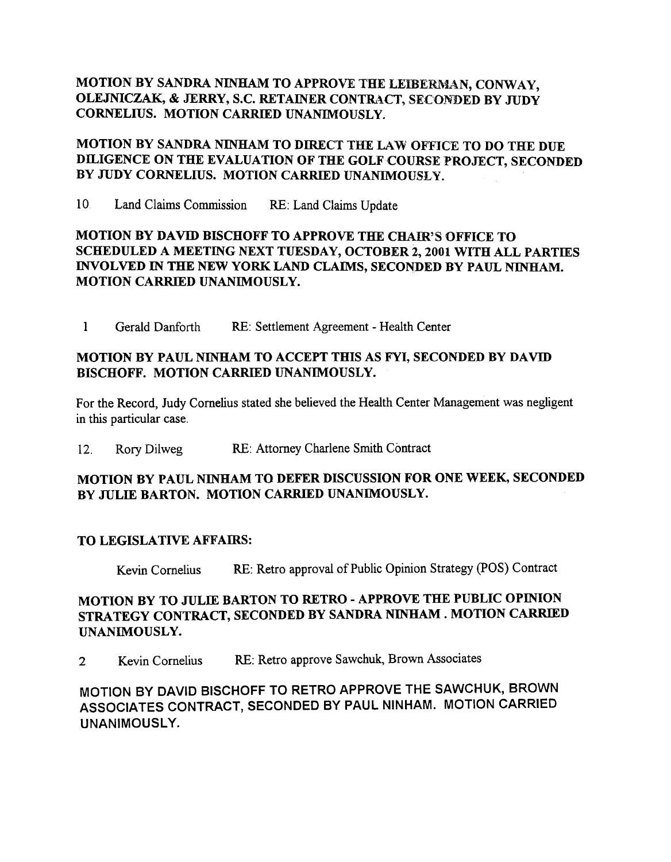#### MOTION BY SANDRA NINHAM TO APPROVE THE LEIBERMAN, CONWAY, OLEJNICZAK, & JERRY, S.C. RETAINER CONTRACT, SECONDED BY JUDY CORNELIUS. MOTION CARRIED UNANIMOUSLY.

#### MOTION BY SANDRA NINHAM TO DIRECT THE LAW OFFICE TO DO THE DUE DILIGENCE ON THE EVALUATION OF THE GOLF COURSE PROJECT, SECONDED BY JUDY CORNELIUS. MOTION CARRIED UNANIMOUSLY.

10 Land Claims Commission RE: Land Claims Update

#### MOTION BY DAVID BISCHOFF TO APPROVE THE CHAm's OFFICE TO SCHEDULED A MEETING NEXT TUESDAY, OCTOBER 2, 2001 WITH ALL PARTIES INVOLVED IN THE NEW YORK LAND CLAIMS, SECONDED BY PAUL NINHAM. MOTION CARRIED UNANIMOUSLY.

1 Gerald Danforth RE: Settlement Agreement -Health Center

#### MOTION BY PAUL NINHAM TO ACCEPT THIS AS FYI, SECONDED BY DAVID BISCHOFF. MOTION CARRIED UNANIMOUSLY.

For the Record, Judy Cornelius stated she believed the Health Center Management was negligent in this particular case.

12. Rory Dilweg RE: Attorney Charlene Smith Contract

#### MOTION BY PAUL NINHAM TO DEFER DISCUSSION FOR ONE WEEK, SECONDED BY JULIE BARTON. MOTION CARRIED UNANIMOUSLY.

#### TO LEGISLATIVE AFFAIRS:

Kevin Cornelius RE: Retro approval of Public Opinion Strategy (POS) Contract

#### MOTION BY TO JULIE BARTON TO RETRO -APPROVE THE PUBLIC OPINION STRATEGY CONTRACT, SECONDED BY SANDRA NINHAM. MOTION CARRIED UNANIMOUSLY.

2 Kevin Cornelius RE: Retro approve Sawchuk, Brown Associates

MOTION BY DAVID BISCHOFF TO RETRO APPROVE THE SAWCHUK, BROWN ASSOCIATES CONTRACT, SECONDED BY PAUL NINHAM. MOTION CARRIED UNANIMOUSLY.